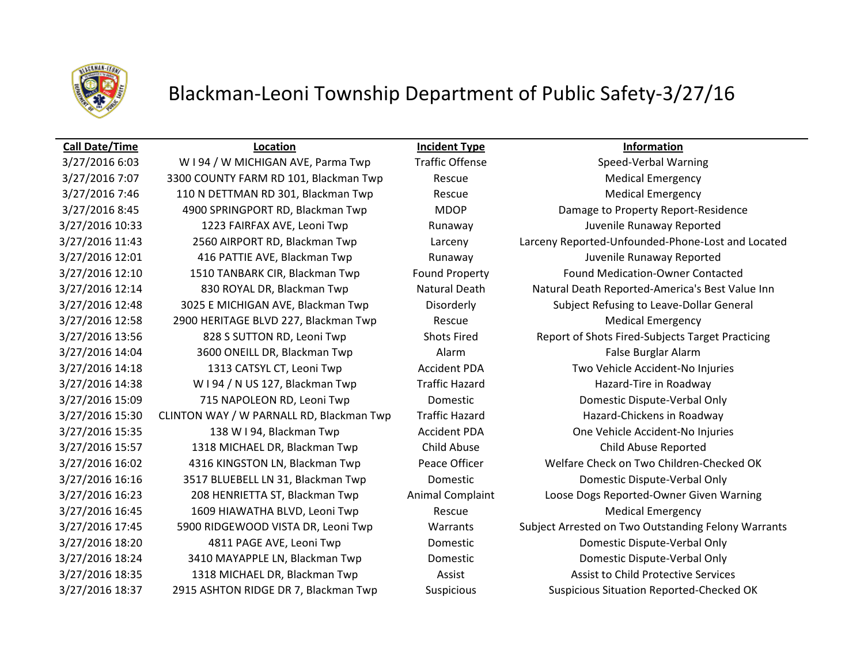

# Blackman-Leoni Township Department of Public Safety-3/27/16

3/27/2016 7:07 3300 COUNTY FARM RD 101, Blackman Twp Rescue Medical Emergency 3/27/2016 7:46 110 N DETTMAN RD 301, Blackman Twp Rescue Medical Emergency 3/27/2016 12:58 2900 HERITAGE BLVD 227, Blackman Twp Rescue Medical Emergency 3/27/2016 14:04 3600 ONEILL DR, Blackman Twp Alarm Alarm Alarm False Burglar Alarm 3/27/2016 14:38 W I 94 / N US 127, Blackman Twp Traffic Hazard Hazard Hazard-Tire in Roadway 3/27/2016 15:57 1318 MICHAEL DR, Blackman Twp Child Abuse Child Abuse Reported 3/27/2016 16:45 1609 HIAWATHA BLVD, Leoni Twp Rescue Rescue Medical Emergency 3/27/2016 18:37 2915 ASHTON RIDGE DR 7, Blackman Twp Suspicious Suspicious Situation Reported-Checked OK

**Call Date/Time Location Incident Type Information**

## 3/27/2016 6:03 W I 94 / W MICHIGAN AVE, Parma Twp Traffic Offense Speed-Verbal Warning 3/27/2016 8:45 4900 SPRINGPORT RD, Blackman Twp MDOP Damage to Property Report-Residence 3/27/2016 10:33 1223 FAIRFAX AVE, Leoni Twp Runaway Juvenile Runaway Reported 3/27/2016 11:43 2560 AIRPORT RD, Blackman Twp Larceny Larceny Reported-Unfounded-Phone-Lost and Located 3/27/2016 12:01 416 PATTIE AVE, Blackman Twp Runaway Juvenile Runaway Reported 3/27/2016 12:10 1510 TANBARK CIR, Blackman Twp Found Property Found Medication-Owner Contacted 3/27/2016 12:14 830 ROYAL DR, Blackman Twp Natural Death Natural Death Reported-America's Best Value Inn 3/27/2016 12:48 3025 E MICHIGAN AVE, Blackman Twp Disorderly Subject Refusing to Leave-Dollar General 3/27/2016 13:56 828 S SUTTON RD, Leoni Twp Shots Fired Report of Shots Fired-Subjects Target Practicing 3/27/2016 14:18 1313 CATSYL CT, Leoni Twp Accident PDA Two Vehicle Accident-No Injuries 3/27/2016 15:09 715 NAPOLEON RD, Leoni Twp Domestic Domestic Dispute-Verbal Only 3/27/2016 15:30 CLINTON WAY / W PARNALL RD, Blackman Twp Traffic Hazard Hazard-Chickens in Roadway 3/27/2016 15:35 138 W I 94, Blackman Twp **Accident PDA** One Vehicle Accident-No Injuries 3/27/2016 16:02 4316 KINGSTON LN, Blackman Twp Peace Officer Welfare Check on Two Children-Checked OK 3/27/2016 16:16 3517 BLUEBELL LN 31, Blackman Twp Domestic Domestic Dispute-Verbal Only 3/27/2016 16:23 208 HENRIETTA ST, Blackman Twp Animal Complaint Loose Dogs Reported-Owner Given Warning 3/27/2016 17:45 5900 RIDGEWOOD VISTA DR, Leoni Twp Warrants Subject Arrested on Two Outstanding Felony Warrants 3/27/2016 18:20 4811 PAGE AVE, Leoni Twp Domestic Domestic Dispute-Verbal Only 3/27/2016 18:24 3410 MAYAPPLE LN, Blackman Twp Domestic Domestic Dispute-Verbal Only 3/27/2016 18:35 1318 MICHAEL DR, Blackman Twp Assist Assist Assist to Child Protective Services